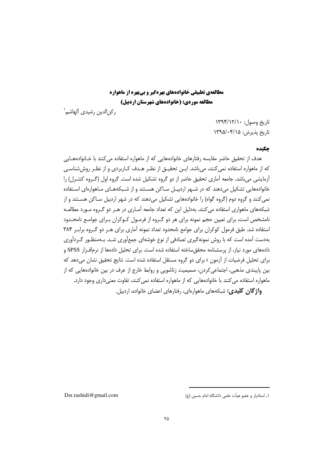ركن|لدين رشيدي آلهاشم<sup>\</sup>

تاريخ وصول: ١٣٩٤/١٢/١٠ تاریخ پذیرش: ۱۳۹۵/۰۴/۱۵

# چکیده

هدف از تحقیق حاضر مقایسه رفتارهای خانوادههایی که از ماهواره استفاده می کنند با خـانوادههـایی که از ماهواره استفاده نمی کنند، می باشد. ایـن تحقیـق از نظـر هـدف کـاربردی و از نظـر روش شناسـی أزمايشي ميباشد. جامعه آماري تحقيق حاضر از دو گروه تشكيل شده است. گروه اول (گـروه كنتـرل) را .<br>خانوادههایی تشکیل می دهند که در شـهر اردبیـل سـاکن هسـتند و از شـبکههـای مـاهوارهای اسـتفاده نمي کنند و گروه دوم (گروه گواه) را خانوادههايي تشکيل مي دهند که در شهر اردبيل سـاکن هسـتند و از شبکههای ماهواری استفاده می کنند. بهدلیل این که تعداد جامعه آمـاری در هـر دو گـروه مـورد مطالعـه نامشخص است، برای تعیین حجم نمونه برای هر دو گـروه از فرمـول کـوکران بـرای جوامـع نامحـدود استفاده شد. طبق فرمول کوکران برای جوامع نامحدود تعداد نمونه آماری برای هـر دو گـروه برابـر ۳۸۴ بهدست آمده است که با روش نمونهگیری تصادفی از نوع خوشهای جمعآوری شـد. بـهمنظـور گـردآوری دادههای مورد نیاز، از پرسشنامه محقق ساخته استفاده شده است. برای تحلیل دادهها از نرمافـزار SPSS و برای تحلیل فرضیات از آزمون t برای دو گروه مستقل استفاده شده است. نتایج تحقیق نشان می دهد که بین پایبندی مذهبی، اجتماعی کردن، صمیمیت زناشویی و روابط خارج از عرف در بین خانوادههایی که از ماهواره استفاده می کنند با خانوادههایی که از ماهواره استفاده نمی کنند، تفاوت معنی داری وجود دارد.

واژگان کلیدی: شبکههای ماهوارهای، رفتارهای اعضای خانواده، اردبیل.

١\_ استادبار و عضو هيأت علمي دانشگاه امام حسين (ع)

Dsr.rashidi@gmail.com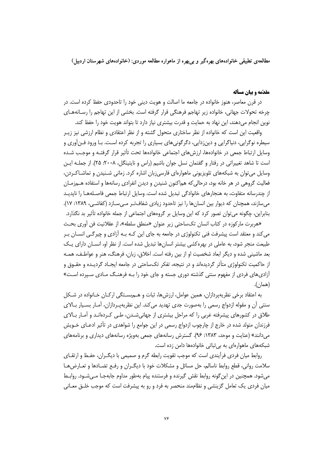### **مقدّمه و بیان مسأله**

در قرن معاصر، هنوز خانواده در جامعه ما اصالت و هويت ديني خود را تاحدودي حفظ كرده است. در چرخه تحولات جهانی، خانواده زیر تهاجم فرهنگی قرار گرفته است. بخشی از این تهاجم را رسـانههـای نوین انجام میدهند، این نهاد به حمایت و قدرت بیشتری نیاز دارد تا بتواند هویت خود را حفظ کند.

واقعیت این است که خانواده از نظر ساختاری متحول گشته و از نظر اعتقادی و نظام ارزشی نیز زیـر سیطره نوگرایی، دنیاگرایی و دینزدایی، دگرگونیهای بسیاری را تجربه کرده است. بـا ورود فـن|َوری و وسایل ارتباط جمعی در خانوادهها، ارزشهای اجتماعی خانوادهها تحت تأثیر قرار گرفتـه و موجـب شـده است تا شاهد تغییراتی در رفتار و گفتمان نسل جوان باشیم (راس و نایتینگل، ۲۰۰۸: ۲۵). از جملـه ایـن وسایل میتوان به شبکههای تلویزیونی ماهوارهای فارسیزبان اشاره کرد. زمانی شـنیدن و تماشـاکـردن، فعالیت گروهی در هر خانه بود، درحالی که هماکنون شنیدن و دیدن انفرادی رسانهها و استفاده هــمزمــان از چندرسانه متفاوت، به هنجارهای خانوادگی تبدیل شده است. وسایل ارتباط جمعی فاصـلههـا را نایدیـد میسازند، همچنان که دیوار بین انسانها را نیز تاحدود زیادی شفافتر مهسازد (کفاشی، ۱۳۸۹: ۱۷). بنابراین، چگونه میتوان تصور کرد که این وسایل بر گروههای اجتماعی از جمله خانواده تأثیر بد نگذارد.

«هربرت ماركوزه در كتاب انسان تكساحتى زير عنوان «منطق سلطه»، از عقلانيت فن آوري بحث میکند و معتقد است پیشرفت فنی تکنولوژی در جامعه به جای این کـه بـه آزادی و چیرگـی انســان بـر طبیعت منجر شود، به عاملی در بهرهکشی بیشتر انسانها تبدیل شده است. از نظر او، انسـان دارای یـک بعد ماشینی شده و دیگر ابعاد شخصیت او از بین رفته است. اخلاق، زبان، فرهنگ، هنر و عواطـف، همـه ز حاکمیت تکنولوژی متأثر گردیدهاند و در نتیجه، تفکر تکساحتی در جامعه ایجـاد گردیـده و حقــوق و آزادیهای فردی از مفهوم سنتی گذشته دوری جسته و جای خود را بـه فرهنـگ مـادی سـپرده اسـت» (همان).

به اعتقاد برخی نظریهپردازان، همین عوامل، ارزشها، ثبات و هــم,بسـتگی ارکــان خــانواده در شــکل سنتی آن و مقوله ازدواج رسمی را بهصورت جدی تهدید میکند. این نظریهپـردازان، آمـار بسـیار بـالای طلاق در کشورهای پیشرفته غربی را که مراحل بیشتری از جهانیشدن، طـی کـردهانـد و آمـار بـالای فرزندان متولد شده در خارج از چارچوب ازدواج رسمی در این جوامع را شواهدی در تأثیر ادعــای خــویش می(انند» (عنایت و موحد، ۱۳۸۳: ۹۶). گسترش رسانههای جمعی بهویژه رسانههای دیداری و برنامههای شبکههای ماهوارهای به بی ثباتی خانوادهها دامن زده است.

روابط میان فردی فرآیندی است که موجب تقویت رابطه گرم و صمیمی با دیگـران، حفـظ و ارتقـای سلامت روانی، قطع روابط ناسالم، حل مسائل و مشکلات خود با دیگـران و رفـع تضـادها و تعـارض هـا میشود. همچنین در این گونه روابط نقش گیرنده و فرستنده پیام بهطور مداوم جابهجـا مـیشــود. روابــط میان فردی یک تعامل گزینشی و نظاممند منحصر به فرد و رو به پیشرفت است که موجب خلـق معـانی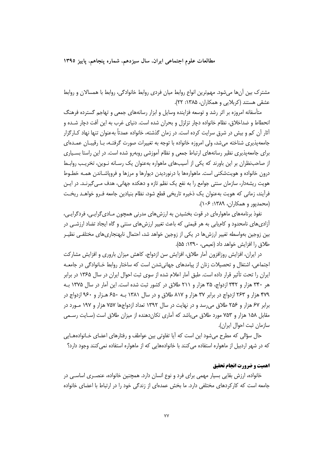مطالعات علوم اجتماعي ايران، سال سيزدهم، شماره ينجاهم، پاييز ١٣٩٥

مشترک بین اَنِ امیشود. مهمترین انواع روابط میان فردی روابط خانوادگی، روابط با همسالان و روابط عشقی هستند (کربلایی و همکاران، ۱۳۸۵: ۲۲).

متأسفانه امروزه بر اثر رشد و توسعه فزاینده وسایل و ابزار رسانههای جمعی و تهاجم گسترده فرهنگ انحطاط و ضداخلاق، نظام خانواده دچار تزلزل و بحران شده است. دنیای غرب به این آفت دچار شـده و آثار آن کم و بیش در شرق سرایت کرده است. در زمان گذشته، خانواده عمدتاً بهعنوان تنها نهاد کـارگزار جامعهپذیری شناخته میشد، ولی امروزه خانواده با توجه به تغییرات صورت گرفتـه، بـا رقیبـان عمـدهای برای جامعهپذیری نظیر رسانههای ارتباط جمعی و نظام آموزشی روبهرو شده است. در این راستا بسـیاری از صاحب نظران بر این باورند که یکی از آسیبهای ماهواره بهعنوان یک رسـانه نـوین، تخریـب روابـط درون خانواده و هویتشکنی است. ماهوارهها با درنوردیدن دیوارها و مرزها و فروپاشـاندن همـه خطـوط هویت ریشهدار، سازمان سنتی جوامع را به نفع یک نظم تازه و دهکده جهانی، هدف مـی گیرنـد. در ایـن فرأيند، زماني كه هويت بهعنوان يک ذخيره تاريخي قطع شود، نظام بنيادين جامعه فـرو خواهــد ريخـت (محمدیور و همکاران، ۱۳۸۹: ۱۰۶).

نفوذ برنامههای ماهوارهای در قوت بخشیدن به ارزشهای مدرنی همچون مـادی6رایـی، فردگرایـی، آزادیهای نامحدود و کامیابی به هر قیمتی که باعث تغییر ارزش های سنتی و گاه ایجاد تضاد ارزشـی در بین زوجین بهواسطه تغییر ارزش ها در یکی از زوجین خواهد شد، احتمال نابهنجاری.های مختلفـی نظیـر طلاق را افزایش خواهد داد (نعیمی، ۱۳۹۰: ۵۵).

در ایران، افزایش روزافزون آمار طلاق، افزایش سن ازدواج، کاهش میزان باروری و افزایش مشارکت اجتماعی، اشتغال و تحصیلات زنان از پیامدهای جهانی شدن است که ساختار روابط خـانوادگی در جامعــه ایران را تحت تأثیر قرار داده است. طبق آمار اعلام شده از سوی ثبت احوال ایران در سال ۱۳۶۵ در برابر هر ۳۴۰ هزار و ۳۴۲ ازدواج، ۳۵ هزار و ۲۱۱ طلاق در کشور ثبت شده است. این آمار در سال ۱۳۷۵ بـه ۴۷۹ هزار و ۲۶۳ ازدواج در برابر ۳۷ هزار و ۸۱۷ طلاق و در سال ۱۳۸۱ بـه ۶۵۰ هـزار و ۹۶۰ ازدواج در برابر ۶۷ هزار و ۲۵۶ طلاق می رسد و در نهایت در سال ۱۳۹۲ تعداد ازدواجها ۷۵۷ هزار و ۱۹۷ مـورد در مقابل ۱۵۸ هزار و ۷۵۳ مورد طلاق میباشد که آماری تکاندهنده از میزان طلاق است (سـایت رسـمی سازمان ثبت احوال ايران).

حال سؤالی که مطرح میشود این است که آیا تفاوتی بین عواطف و رفتارهای اعضای خـانوادههـایی که در شهر اردبیل از ماهواره استفاده می کنند با خانوادههایی که از ماهواره استفاده نمی کنند وجود دارد؟

# اهمت و ضرورت انحام تحقیق

خانواده، ارزش بقایی بسیار مهمی برای فرد و نوع انسان دارد. همچنین خانواده، عنصـری اساسـی در جامعه است که کارکردهای مختلفی دارد. ما بخش عمدهای از زندگی خود را در ارتباط با اعضای خانواده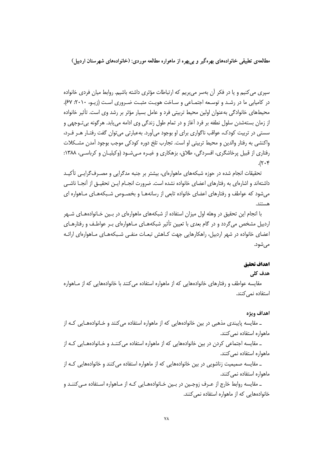سیری می کنیم و یا در فکر آن بهسر می بریم که ارتباطات مؤثری داشته باشیم. روابط میان فردی خانواده در کامیابی ما در رشد و توسعه اجتمـاعی و سـاخت هویـت مثبـت ضـروری اسـت (زیـو، ۲۰۱۰: ۶۷). محیطهای خانوادگی بهعنوان اولین محیط تربیتی فرد و عامل بسیار مؤثر بر رشد وی است. تأثیر خانواده از زمان بستهشدن سلول نطفه بر فرد آغاز و در تمام طول زندگی وی ادامه می یابد. هرگونه بی تـوجهی و سستی در تربیت کودک، عواقب ناگواری برای او بوجود میآورد. بهعبارتی می توان گفت رفتـار هـر فـرد، واكنشى به رفتار والدين و محيط تربيتي او است. تجارب تلخ دوره كودكي موجب بوجود آمدن مشـكلات رفتاری از قبیل پرخاشگری، افسردگی، طلاق، بزهکاری و غیـره مـی شـود (وکیلیـان و کرباسـی، ۱۳۸۸:  $\mathcal{N} \cdot \mathfrak{r}$ 

تحقیقات انجام شده در حوزه شبکههای ماهوارهای، بیشتر بر جنبه مدگرایی و مصـرف۶گرایـی تأکیـد داشتهاند و اشارهای به رفتارهای اعضای خانواده نشده است. ضرورت انجــام ایــن تحقیــق از أنجــا ناشــی میشود که عواطف و رفتارهای اعضای خانواده تابعی از رسانههـا و بخصـوص شـبکههـای مـاهواره ای هستند.

با انجام این تحقیق در وهله اول میزان استفاده از شبکههای ماهوارهای در بـین خـانوادههـای شـهر اردبیل مشخص می گردد و در گام بعدی با تعیین تأثیر شبکههـای مـاهوارهای پـر عواطـف و رفتارهـای اعضای خانواده در شهر اردبیل، راهکارهایی جهت کــاهش تبعــات منفــی شــبکههــای مــاهوارهای ارائــه مے ,شود.

# اهداف تحقيق

# ھدف کلی

مقایسه عواطف و رفتارهای خانوادههایی که از ماهواره استفاده می کنند با خانوادههایی که از مـاهواره استفاده نمی کنند.

#### اهداف ويژه

ـ مقايسه پايبندي مذهبي در بين خانوادههايي كه از ماهواره استفاده مي كنند و خـانوادههـايي كـه از ماهواره استفاده نمی کنند.

ـ مقایسه اجتماعی کردن در بین خانوادههایی که از ماهواره استفاده می کننـد و خـانوادههـایی کـه از ماهواره استفاده نمي كنند.

ـ مقایسه صمیمیت زناشویی در بین خانوادههایی که از ماهواره استفاده می کنند و خانوادههایی کـه از ماهواره استفاده نمی کنند.

ـ مقايسه روابط خارج از عـرف زوجـين در بـين خـانوادههـايي كـه از مـاهواره اسـتفاده مـي كننـد و خانوادههایی که از ماهواره استفاده نمی کنند.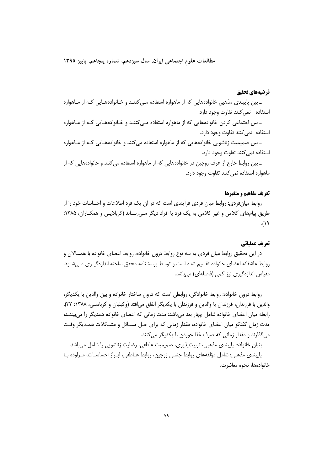مطالعات علوم اجتماعي ايران، سال سيزدهم، شماره پنجاهم، پاييز ١٣٩٥

# فرضيههاي تحقيق

ـ بین پایبندی مذهبی خانوادههایی که از ماهواره استفاده مـیکننـد و خـانوادههـایی کـه از مـاهواره استفاده نمی *ک*نند تفاوت وجود دارد.

۔ بین اجتماعی کردن خانوادههایی که از ماهواره استفاده مےکننـد و خـانوادههـایی کـه از مـاهواره استفاده نمی کنند تفاوت وجود دارد.

ـ بین صمیمیت زناشویی خانوادههایی که از ماهواره استفاده میکنند و خانوادههـایی کـه از مـاهواره استفاده نمی کنند تفاوت وجود دارد.

ـ بين روابط خارج از عرف زوجين در خانوادههايي كه از ماهواره استفاده مي كنند و خانوادههايي كه از ماهواره استفاده نمی کنند تفاوت وجود دارد.

# تع يف مفاهيم و متغيرها

روابط میانفردی: روابط میان فردی فرآیندی است که در آن یک فرد اطلاعات و احساسات خود را از طریق پیامهای کلامی و غیر کلامی به یک فرد یا افراد دیگر مـی٫سـاند (کربلایـی و همکـاران، ۱۳۸۵:  $f(\lambda)$ .

### تعريف عملياتي

در این تحقیق روابط میان فردی به سه نوع روابط درون خانواده، روابط اعضای خانواده با همسالان و روابط عاشقانه اعضای خانواده تقسیم شده است و توسط پرسشنامه محقق ساخته اندازهگیـری مـی.شـود. مقیاس اندازہگیری نیز کمی (فاصلهای) می باشد.

روابط درون خانواده: روابط خانوادگی، روابطی است که درون ساختار خانواده و بین والدین با یکدیگر، والدين با فرزندان، فرزندان با والدين و فرزندان با يكديگر اتفاق مى افتد (وكيليان و كرباسي، ١٣٨٨: ٣٢). رابطه میان اعضای خانواده شامل چهار بعد میباشد: مدت زمانی که اعضای خانواده همدیگر را میبیننـد، مدت زمان گفتگو میان اعضای خانواده، مقدار زمانی که برای حـل مســائل و مشــکلات همـدیگر وقــت می گذارند و مقدار زمانی که صرف غذا خوردن با یکدیگر می کنند.

بنبان خانواده: پایبندی مذهبی، تربیتپذیری، صمیمیت عاطفی، رضایت زناشویی را شامل میباشد. پایبندی مذهبی: شامل مؤلفههای روابط جنسی زوجین، روابط عـاطفی، ابـراز احساسـات، مـراوده بـا خانوادەھا، نحوە معاشرت.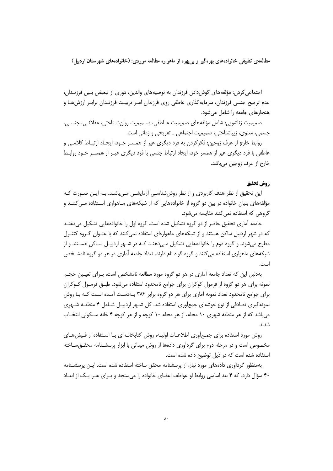اجتماعی کردن: مؤلفههای گوش۱دادن فرزندان به توصیههای والدین، دوری از تبعیض بـین فرزنـدان، عدم ترجیح جنسی فرزندان، سرمایهگذاری عاطفی روی فرزندان امـر تربیـت فرزنـدان برابـر ارزش۱مـا و هنجارهای جامعه را شامل می شود.

صميميت زناشويي: شامل مؤلفههاي صميميت عـاطفي، صـميميت روانِ شـناختي، عقلانـي، جنسـي، جسمی، معنوی، زیباشناختی، صمیمیت اجتماعی \_ تفریحی و زمانی است.

روابط خارج از عرف زوجین: فكركردن به فرد ديگرى غير از همسـر خـود، ايجـاد ارتبـاط كلامـى و عاطفی با فرد دیگری غیر از همسر خود، ایجاد ارتباط جنسی با فرد دیگری غیـر از همســر خــود روابــط خارج از عرف زوجین میباشد.

# **, وش تحقیق**

این تحقیق از نظر هدف کاربردی و از نظر روش شناسبی آزمایشبی مبی باشید. بیه این صورت کیه مؤلفههای بنیان خانواده در بین دو گروه از خانوادههایی که از شبکههای مـاهواری اسـتفاده مـی کننـد و گروهی که استفاده نمی کنند مقایسه میشود.

جامعه آماری تحقیق حاضر از دو گروه تشکیل شده است. گروه اول را خانوادههایی تشکیل می دهنـد که در شهر اردبیل ساکن هستند و از شبکههای ماهوارهای استفاده نمی کنند که با عنـوان گـروه کنتـرل مطرح می شوند و گروه دوم را خانوادههایی تشکیل مـی دهنـد کـه در شـهر اردیبـل سـاکن هسـتند و از شبکههای ماهواری استفاده می کنند و گروه گواه نام دارند. تعداد جامعه آماری در هر دو گروه نامشــخص است.

بهدلیل این که تعداد جامعه آماری در هر دو گروه مورد مطالعه نامشخص است، بـرای تعیـین حجـم نمونه برای هر دو گروه از فرمول کوکران برای جوامع نامحدود استفاده می،شود. طبــق فرمــول کــوکران برای جوامع نامحدود تعداد نمونه آماری برای هر دو گروه برابر ۳۸۴ بـهدسـت آمـده اسـت کـه بـا روش نمونه گیری تصادفی از نوع خوشهای جمعآوری استفاده شد. کل شـهر اردبیـل شـامل ۴ منطقـه شـهری می باشد که از هر منطقه شهری ۱۰ محله، از هر محله ۱۰ کوچه و از هر کوچه ۴ خانه مسکونی انتخـاب شدند.

روش مورد استفاده برای جمـع|ّوری اطلاعـات اولیـه، روش کتابخانـهای بـا اسـتفاده از فـیش۵حـای مخصوص است و در مرحله دوم برای گردآوری دادهها از روش میدانی با ابزار پرسشـنامه محقــقِســاخته استفاده شده است که در ذیل توضیح داده شده است.

بهمنظور گردآوری دادههای مورد نیاز، از پرسشنامه محقق ساخته استفاده شده است. ایـن پرسشـنامه ۴۰ سؤال دارد. که ۴ بعد اساسی روابط او عواطف اعضای خانواده را می سنجد و بـرای هـر یـک از ابعـاد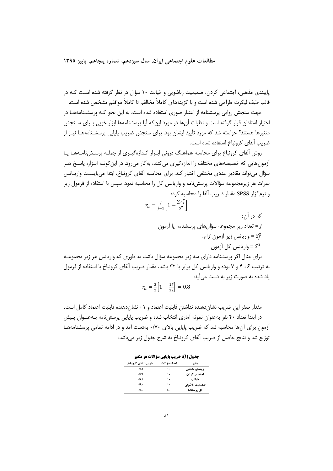مطالعات علوم اجتماعي ايران، سال سيزدهم، شماره ينجاهم، پاييز ١٣٩٥

پایبندی مذهبی، اجتماعی کردن، صمیمیت زناشویی و خیانت ۱۰ سؤال در نظر گرفته شده اسـت کـه در قالب طیف لیکرت طراحی شده است و با گزینههای کاملاً مخالفم تا کاملاً موافقم مشخص شده است.

جهت سنجش روایی پرسشنامه از اعتبار صوری استفاده شده است، به این نحو کـه پرسشـنامههـا در اختیار استادان قرار گرفته است و نظرات آنها در مورد این که آیا پرسشنامهها ابزار خوبی بـرای سـنجش متغیرها هستند؟ خواسته شد که مورد تأیید ایشان بود. برای سنجش ضریب پایایی پرسشـنامههـا نیـز از ضريب آلفاي كرونياخ استفاده شده است.

روش آلفای کرونباخ برای محاسبه هماهنگ درونی ابزار انـدازهگیـری از جملـه پرسـشiامـههـا یـا آزمون هایی که خصیصههای مختلف را اندازهگیری می کنند، بهکار می رود. در این گونـه ابـزار، پاسـخ هـر سؤال می تواند مقادیر عددی مختلفی اختیار کند. برای محاسبه آلفای کرونباخ، ابتدا می بایسـت واریــانس نمرات هر زیرمجموعه سؤالات پرسشiامه و واریانس کل را محاسبه نمود. سپس با استفاده از فرمول زیر و نرمافزار SPSS مقدار ضريب آلفا را محاسبه كرد:

> $r_a = \frac{j}{i-1} \left[ 1 - \frac{\sum S_j^2}{c^2} \right]$ که در آن: تعداد زیر مجموعه سؤال های پرسشنامه یا آزمون = واریانس زیر آزمون *ز*ام. =  $S_i^2$ واريانس كل أزمون. =  $S^2$

برای مثال اگر پرسشنامه دارای سه زیر مجموعه سؤال باشد، به طوری که واریانس هر زیر مجموعـه به ترتیب ۶ ، ۴ و ۷ بوده و واریانس کل برابر با ۳۲ باشد، مقدار ضریب آلفای کرونباخ با استفاده از فرمول یاد شده به صورت زیر به دست می آید:

$$
r_a = \frac{3}{2} \left[ 1 - \frac{17}{32} \right] = 0.8
$$

مقدار صفر این ضریب نشانِ دهنده نداشتن قابلیت اعتماد و ۱+ نشانِ دهنده قابلیت اعتماد کامل است. در ابتدا تعداد ۴۰ نفر بهعنوان نمونه آماری انتخاب شده و ضریب پایایی پرسشنامه بـهعنـوان پـیش آزمون برای آنها محاسبه شد که ضریب پایایی بالای ۰/۷۰ بهدست آمد و در ادامه تمامی پرسشنامههـا توزیع شد و نتایج حاصل از ضریب آلفای کرونباخ به شرح جدول زیر میباشد:

جدول (1): ضريب ياپايي سؤالات هر متغير

| ضريب آلفاي كرونباخ | تعداد سؤالات | متغير              |
|--------------------|--------------|--------------------|
| .11                | ۱۰           | یایبندی مذهبی      |
| .149               | ۱۰           | اجتماعي كردن       |
| .111               | ۱۰           | خيانت              |
| .19.               | ۱۰           | صمیمیت زناشویی     |
| .115               | ٤.           | <b>کل پرسشنامه</b> |
|                    |              |                    |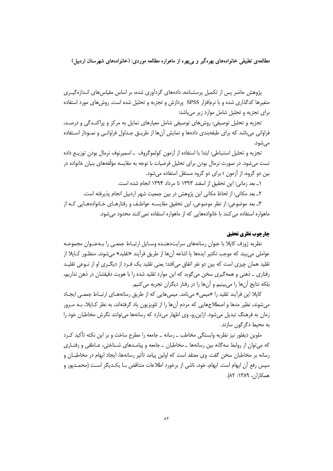پژوهش حاضر پس از تکمیل پرسشنامه، دادههای گردآوری شده، بر اساس مقیاس های انـدازهگیـری متغیرها کدگذاری شده و با نرمافزار SPSS پردازش و تجزیه و تحلیل شده است. روش های مورد استفاده برای تجزیه و تحلیل شامل موارد زیر میباشد:

تجزیه و تحلیل توصیفی: روشهای توصیفی شامل معیارهای تمایل به مرکز و پراکنـدگی و درصـد، فراوانی می باشد که برای طبقهبندی دادهها و نمایش آنها از طریــق جـداول فراوانــی و نمــودار اســتفاده مي شود.

تجزيه و تحليل استنباطي: ابتدا با استفاده از آزمون كولموگروف \_اسمپرنوف نرمال بودن توزيـع داده تست میشود. در صورت نرمال بودن برای تحلیل فرضیات با توجه به مقایسه مؤلّفههای بنیان خانواده در بین دو گروه، از آزمون t برای دو گروه مستقل استفاده می شود.

١\_ بعد زماني: اين تحقيق از اسفند ١٣٩٣ تا مرداد ١٣٩۴ انجام شده است.

٢\_ بعد مكاني: از لحاظ مكاني اين پژوهش در بين جمعيت شهر اردبيل انجام پذيرفته است.

۳ـ بعد موضوعي: از نظر موضوعي، اين تحقيق مقايسـه عواطـف و رفتارهـاي خـانوادههـايي كـه از ماهواره استفاده می کنند با خانوادههایی که از ماهواره استفاده نمی کنند محدود می شود.

# چارچوب نظري تحقيق

نظریه ژوزف کاپلا با عنوان رسانههای سرایتدهنـده وسـایل ارتبـاط جمعـی را بـهعنـوان مجموعـه عواملي مي بيند كه موجب تكثير ايدهها يا اشاعه آنها از طريق فراّيند «تقليد» مي شوند. منظـور كـايلا از تقلید همان چیزی است که بین دو نفر اتفاق می|فتد؛ یعنی تقلید یک فـرد از دیگـری او از نـوعی تقلیـد رفتاري \_ ذهني و همه گيري سخن مي گويد كه اين موارد تقليد شده را با هويت دقيقشان در ذهن نداريم، بلکه نتایج آنها را می بینیم و آنها را در رفتار دیگران تجربه می کنیم.

کاپلا این فرآیند تقلید را «میمی» میiامد. میمیهایی که از طریق رسانههـای ارتبـاط جمعـی ایجـاد میشوند، نظیر مدها و اصطلاحهایی که مردم آنها را از تلویزیون یاد گرفتهاند، به نظر کـاپلا، بـه مـرور زمان به فرهنگ تبدیل میشود. ازاین رو، وی اظهار میدارد که رسانهها می توانند نگرش مخاطبان خود را به محیط دگرگون سازند.

ملوین دیفلور نیز نظریه وابستگی مخاطب ـ رسانه ـ جامعه را مطرح ساخت و بر این نکته تأکید کـرد که می توان از روابط سه گانه بین رسانهها \_ مخاطبان \_ جامعه و پیامـدهای شـناختی، عـاطفی و رفتـاری رسانه بر مخاطبان سخن گفت. وی معتقد است که اولین پیامد تأثیر رسانهها، ایجاد ابهام در مخاطبــان و سپس رفع اّن ابهام است. ابهام، خود، ناشی از برخورد اطلاعات متناقض بـا یکـدیگر اسـت (محمـدیور و همكاران، ١٣٨٩: ٨٢).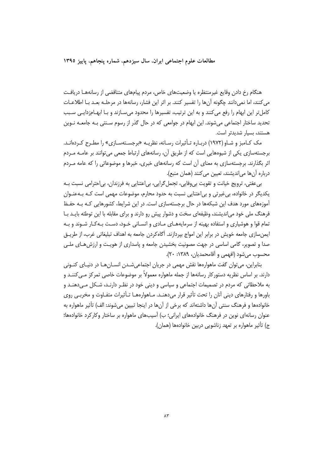مطالعات علوم اجتماعي ايران، سال سيزدهم، شماره ينجاهم، پاييز ١٣٩٥

هنگام رخ دادن وقایع غیرمنتظره یا وضعیتهای خاص، مردم پیامهای متناقضی از رسانههـا دریافـت می کنند، اما نمی دانند چگونه آنها را تفسیر کنند. بر اثر این فشار، رسانهها در مرحلـه بعـد بـا اطلاعـات کامل تر این ابهام را رفع می کنند و به این ترتیب، تفسیرها را محدود می سـازند و بـا ابهـامزدایـی سـبب تحدید ساختار اجتماعی میشوند. این ابهام در جوامعی که در حال گذر از رسوم سـنتی بـه جامعـه نـوین هستند، بسیار شدیدتر است.

مک کـامبز و شـاو (۱۹۷۲) دربـاره تـأثیرات رسـانه، نظریـه «برجسـتهسـازی» را مطـرح کـردهانـد. برجستهسازی یکی از شیوههایی است که از طریق آن، رسانههای ارتباط جمعی میتوانند بر عامـه مـردم اثر بگذارند. برجستهسازی به معنای آن است که رسانههای خبری، خبرها و موضوعاتی را که عامه مـردم درباره آن ها می اندیشند، تعیین می کنند (همان منبع).

بی عفتی، ترویج خیانت و تقویت بی وفایی، تجمل گرایی، بی اعتنایی به فرزندان، بی احترامی نسبت بـه یکدیگر در خانواده، بی غیرتی و بی|عتنایی نسبت به حدود محارم، موضوعات مهمی است کـه بـهعنـوان آموزههای مورد هدف این شبکهها در حال برجستهسازی است. در این شرایط، کشورهایی کـه بـه حفـظ فرهنگ ملی خود می|ندیشند، وظیفهای سخت و دشوار پیش رو دارند و برای مقابله با این توطئه بایـد بـا تمام قوا و هوشیاری و استفاده بهینه از سرمایههـای مـادی و انسـانی خـود، دسـت بـهکـار شـوند و بـه ایمن سازی جامعه خویش در برابر این امواج بپردازند. آگاه کردن جامعه به اهداف تبلیغاتی غرب، از طریــق صدا و تصویر، گامی اساسی در جهت مصونیت بخشیدن جامعه و پاسداری از هویـت و ارزش هـای ملـی محسوب مي شود (افهمي و آقامحمديان، ١٣٨٩: ٢٠).

بنابراین، می توان گفت ماهوارهها نقش مهمی در جریان اجتماعی شـدن انسـان هـا در دنیـای کنـونی دارند. بر اساس نظریه دستورکار رسانهها از جمله ماهواره معمولاً بر موضوعات خاصی تمرکز مـی کننـد و به ملاحظاتی که مردم در تصمیمات اجتماعی و سیاسی و دینی خود در نظـر دارنـد، شـکل مـی‹هنـد و باورها و رفتارهای دینی آنان را تحت تأثیر قرار می دهنـد. مـاهوارههـا تـأثیرات متفـاوت و مخربـی روی خانوادهها و فرهنگ سنتی آنها داشتهاند که برخی از آنها در اینجا تبیین میشوند: الف) تأثیر ماهواره به عنوان رسانهای نوین در فرهنگ خانوادههای ایرانی؛ ب) آسیبهای ماهواره بر ساختار وکارکرد خانوادهها؛ ج) تأثیر ماهواره بر تعهد زناشویی دربین خانوادهها (همان).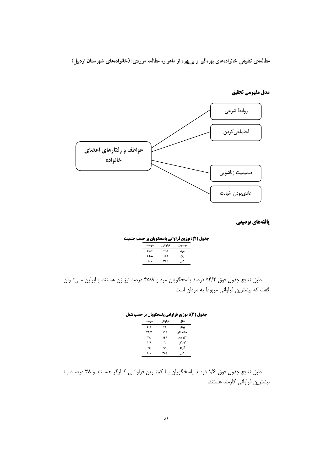

**مدل مفهومي تحقيق** 

#### **یافتههای توصیفی**

**جدول (2): توزیع فراوانی پاسخگویان بر حسب جنسبت** جنسیت فراوان<sub>ی</sub> درصد مرد ۲۰**۸ ک**ار **45/8 176 \*1 100 384 5**

طبق نتايج جدول فوق ۵۴/۲ درصد پاسخگويان مرد و ۴۵/۸ درصد نيز زن هستند. بنابراين ميتوان گفت که بیشترین فراوانی مربوط به مردان است.

#### **جدول (3): توزیع فراوانی پاسخگویان بر حسب شغل**

| درصد        | فراواني | شغل.     |
|-------------|---------|----------|
| ٥١٧         | ٢٢      | بيكار    |
| <b>٢٩/٧</b> | ۱۱٤     | خانه دار |
| ٣٨          | ۱٤٦     | كارمند   |
| 1/7         | ٦       | کار گو   |
| ٢٥          | ٩٦      | آزاد     |
| ۱۰۰         | ٣٨٤     | کا ،     |

طبق نتايج جدول فوق ١/۶ درصد پاسخگويان بـا كمتـرين فراوانـي كـارگر هسـتند و ٣٨ درصـد بـا بیشترین فراوانی کارمند هستند.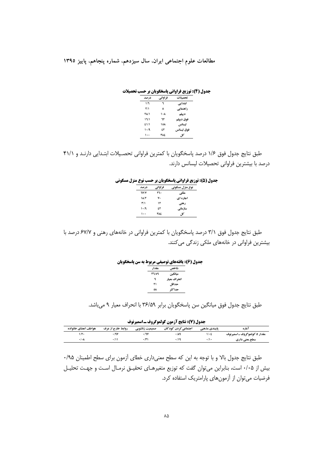مطالعات علوم اجتماعی ایران، سال سیزدهم، شماره پنجاهم، پاییز ۱۳۹۵

جدول (4): توزيع فراواني ياسخگويان بر حسب تحصيلات

| در صد                   | فراواني | تحصلات     |
|-------------------------|---------|------------|
| 1/7                     | ٦       | ابتدایی    |
| $\mathbf{r}/\mathbf{1}$ | ۸       | راهنمایی   |
| <b>٢٨/1</b>             | ۱۰۸     | دييلم      |
| 17/1                    | ٦٢      | فوق دييلم  |
| 51/1                    | ۱٥۸     | ليسانس     |
| $1 - 19$                | ٤٢      | فوق ليسانس |
| ۱۰۰                     | ٣٨٤     | کل         |

طبق نتايج جدول فوق ١/۶ درصد پاسخگويان با كمترين فراواني تحصيلات ابتدايي دارنـد و ۴١/١ درصد با بیشترین فراوانی تحصیلات لیسانس دارند.

| جدول (5): توزیع فراوانی پاسخگویان بر حسب نوع منزل مسکونی |  |  |  |  |  |
|----------------------------------------------------------|--|--|--|--|--|
|----------------------------------------------------------|--|--|--|--|--|

| در صد       | فراواني | نوع منزل مسکونی |
|-------------|---------|-----------------|
| <b>TY/Y</b> | ۲٦.     | ملكي            |
| 1A/T        | ٧٠      | احاره ای        |
| T/1         | ۱۲      | رهني            |
| 1.4         | ٤٢      | سازماني         |
| ۱.,         | ٣٨٤     | كل              |

طبق نتایج جدول فوق ۳/۱ درصد پاسخگویان با کمترین فراوانی در خانههای رهنی و ۶۷/۷ درصد با بیشترین فراوانی در خانههای ملکی زندگی می کنند.

| مقدار         | شاخص          |  |
|---------------|---------------|--|
| <b>۳</b> ٦/٥٩ | مياتكين       |  |
| ٩             | انحر اف معيار |  |
| ۲۱            | حداقل         |  |
| ٥٨            | حداكثه        |  |

طبق نتايج جدول فوق ميانگين سن پاسخگويان برابر ٣۶/۵٩ با انحراف معيار ٩ مي باشد.

جدول (7): نتايج آزمون كولموگروف ـ اسميرنوف

| هواطف اعضاي خانواده | روابط خارج از عرف | صمیمیت زناشویی | اجتماعی کردن کود کان | پایبندی مذهبی | آمار ه                       |
|---------------------|-------------------|----------------|----------------------|---------------|------------------------------|
| ۱/۲۰                | ۰/۹۷              | .11Y           | ۰/۸۹                 | $1/\cdot 2$   | مقدار Z کولموگروف ـ اسمیرنوف |
| ۰٬۰۸                |                   | .14            | ۰٬۱۹                 | $\cdot$       | سطح معنی داری                |

طبق نتایج جدول بالا و با توجه به این که سطح معنیداری خطای آزمون برای سطح اطمینان ۹۵/۰ بیش از ۰/۰۵ است، بنابراین می توان گفت که توزیع متغیرهـای تحقیـق نرمـال اسـت و جهـت تحلیـل فرضیات میتوان از آزمونهای پارامتریک استفاده کرد.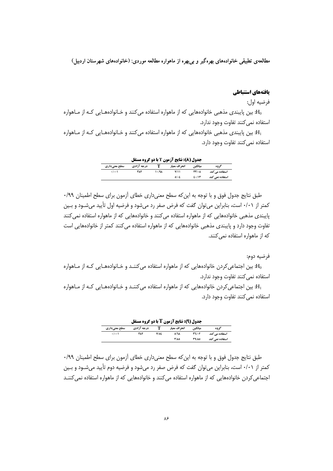### بافتههاي استنباطي

فرضيه اول:

ین پایبندی مذهبی خانوادههایی که از ماهواره استفاده میکنند و خـانوادههـایی کـه از مـاهواره: $\mathrm{H}_0$ استفاده نمى كنند تفاوت وجود ندارد.

ین پایبندی مذهبی خانوادههایی که از ماهواره استفاده می کنند و خـانوادههـایی کـه از مـاهواره: $\mathrm{H}_1$ استفاده نمی کنند تفاوت وجود دارد.

| <b>جدول (8): نتایج آزمون T با دو گروه مستقل</b>               |     |           |      |               |                 |  |  |  |
|---------------------------------------------------------------|-----|-----------|------|---------------|-----------------|--|--|--|
| درجه آزادی<br>ميانگين<br>انحراف معيار<br>گډوه<br>سطح معنیداری |     |           |      |               |                 |  |  |  |
| $\cdot$ $\cdot$ $\cdot$ $\cdot$                               | ۳۸۲ | $1 - 19A$ | Y/11 | $TT' \cdot A$ | استفادہ مے کند  |  |  |  |
|                                                               |     |           | 0.6  | 2.11          | استفاده نمي كند |  |  |  |

طبق نتایج جدول فوق و با توجه به این که سطح معنی داری خطای آزمون برای سطح اطمینان ۹۹/۰ کمتر از ۰/۰۱ است، بنابراین می توان گفت که فرض صفر رد می شود و فرضیه اول تأیید می شـود و بـین پایبندی مذهبی خانوادههایی که از ماهواره استفاده میکنند و خانوادههایی که از ماهواره استفاده نمیکنند تفاوت وجود دارد و پایبندی مذهبی خانوادههایی که از ماهواره استفاده می کنند کمتر از خانوادههایی است که از ماهواره استفاده نمی کنند.

فرضيه دوم:

ین اجتماعی کردن خانوادههایی که از ماهواره استفاده می کننـد و خـانوادههـایی کـه از مـاهواره: $\mathrm{H}_0$ استفاده نمی کنند تفاوت وجود ندارد.

ین اجتماعی کردن خانوادههایی که از ماهواره استفاده می کننـد و خـانوادههـایی کـه از مـاهواره: $\mathrm{H}_1$ استفاده نمي كنند تفاوت وجود دارد.

| <b>جدول (9): نتایج آزمون T با دو گروه مستقل</b> |            |      |               |              |                 |  |  |  |
|-------------------------------------------------|------------|------|---------------|--------------|-----------------|--|--|--|
| سطح معنیداری                                    | درجه آزادي |      | انحر اف معيار | ميانگين      | گو وه           |  |  |  |
| $\cdot$ $\cdot$ $\cdot$ $\cdot$                 | ۳۸۲        | Y/OE | O/N           | $TV$ + $Y$   | استفادہ مے کند  |  |  |  |
|                                                 |            |      | <b>٣/٨٥</b>   | <b>٣٩/٨٥</b> | استفاده نمے کند |  |  |  |

طبق نتایج جدول فوق و با توجه به این که سطح معنیداری خطای آزمون برای سطح اطمینان ۹۹/۰ کمتر از ۰/۰۱ است، بنابراین می توان گفت که فرض صفر رد میشود و فرضیه دوم تأیید می شـود و بـین اجتماعی کردن خانوادههایی که از ماهواره استفاده می کنند و خانوادههایی که از ماهواره استفاده نمی کننـد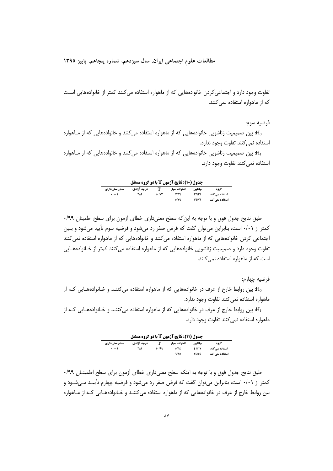مطالعات علوم اجتماعي ايران، سال سيزدهم، شماره پنجاهم، پاييز ١٣٩٥

تفاوت وجود دارد و اجتماعی کردن خانوادههایی که از ماهواره استفاده می کنند کمتر از خانوادههایی است که از ماهواره استفاده نمی کنند.

فرضيه سوم:

ین صمیمیت زناشویی خانوادههایی که از ماهواره استفاده می کنند و خانوادههایی که از مـاهواره: $\mathrm{H}_0$ استفاده نم*ی ک*نند تفاوت وجود ندارد.

ین صمیمیت زناشویی خانوادههایی که از ماهواره استفاده میکنند و خانوادههایی که از مـاهواره: استفاده نمی کنند تفاوت وجود دارد.

حده1. (10): نتايج آزمون T با ده گروه مستقا

| بسون (۱۰) کی ارتون کے باق موقع مسلس |      |           |      |              |                 |  |  |  |
|-------------------------------------|------|-----------|------|--------------|-----------------|--|--|--|
| سطح معنیداری                        | گ وه |           |      |              |                 |  |  |  |
| $\cdot$ $\cdot$ $\cdot$ $\cdot$     | ۳۸۲  | $1 - IYY$ | Y/T  | TT/T1        | استفادہ مے کند  |  |  |  |
|                                     |      |           | 0/Y9 | <b>٣٩/٧١</b> | استفاده نمے کند |  |  |  |

طبق نتایج جدول فوق و با توجه به این که سطح معنی داری خطای آزمون برای سطح اطمینان ۹۹/۰ کمتر از ۰/۰۱ است، بنابراین می توان گفت که فرض صفر رد میشود و فرضیه سوم تأیید میشود و بـین اجتماعی کردن خانوادههایی که از ماهواره استفاده میکنند و خانوادههایی که از ماهواره استفاده نمیکنند تفاوت وجود دارد و صمیمیت زناشویی خانوادههایی که از ماهواره استفاده می کنند کمتر از خـانوادههـایی است که از ماهواره استفاده نمی کنند.

فرضيه جهارم:

یین روابط خارج از عرف در خانوادههایی که از ماهواره استفاده میکننـد و خـانوادههـایی کـه از: $\rm H_0$ ماهواره استفاده نمی کنند تفاوت وجود ندارد.

ین روابط خارج از عرف در خانوادههایی که از ماهواره استفاده می کننـد و خـانوادههـایی کـه از: $\mathrm{H}_1$ ماهواره استفاده نمی کنند تفاوت وجود دارد.

|                                 | <b>جدول (11): نتایج آزمون T با دو گروه مستقل</b> |       |              |              |                 |  |  |  |  |
|---------------------------------|--------------------------------------------------|-------|--------------|--------------|-----------------|--|--|--|--|
| سطح معنیداری                    | درجه آزادي                                       |       | انحراف معيار | ميانگين      | گ وه            |  |  |  |  |
| $\cdot$ $\cdot$ $\cdot$ $\cdot$ | ٣٨٢                                              | 10/99 | 0/12         | <b>£1/1Y</b> | استفادہ مے کند  |  |  |  |  |
|                                 |                                                  |       | 1/10         | <b>٣٤/0٤</b> | استفاده نمے کند |  |  |  |  |

طبق نتایج جدول فوق و با توجه به اینکه سطح معنیداری خطای آزمون برای سطح اطمینان ۹۹/۰ کمتر از ۰/۰۱ است، بنابراین می توان گفت که فرض صفر رد می شود و فرضیه چهارم تأییـد مـی شـود و بین روابط خارج از عرف در خانوادههایی که از ماهواره استفاده می کننـد و خـانوادههـایی کـه از مـاهواره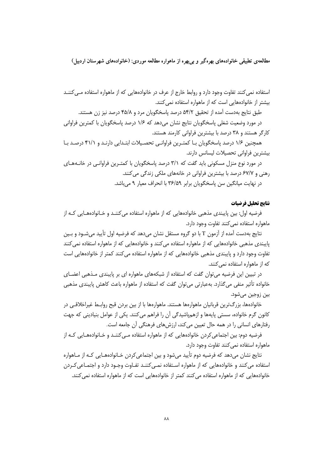استفاده نمی کنند تفاوت وجود دارد و روابط خارج از عرف در خانوادههایی که از ماهواره استفاده مـی کننـد ییشتر از خانوادههایی است که از ماهواره استفاده نمیکنند.

طبق نتايج بهدست آمده از تحقيق ۵۴/۲ درصد پاسخگويان مرد و ۴۵/۸ درصد نيز زن هستند.

در مورد وضعیت شغلی پاسخگویان نتایج نشان میدهد که ۱/۶ درصد پاسخگویان با کمترین فراوانی كارگر هستند و ۳۸ درصد با بیشترین فراوانی كارمند هستند.

همچنین ۱/۶ درصد پاسخگویان بـا کمتـرین فراوانـی تحصـیلات ابتـدایی دارنـد و ۴۱/۱ درصـد بـا بيشترين فراواني تحصيلات ليسانس دارند.

در مورد نوع منزل مسکونی باید گفت که ۳/۱ درصد پاسخگویان با کمتـرین فراوانـی در خانــههـای رهنی و ۶۷/۷ درصد با بیشترین فراوانی در خانههای ملکی زندگی می کنند. در نهایت میانگین سن پاسخگویان برابر ۳۶/۵۹ با انحراف معیار ۹ میباشد.

# **نتايج تحليل فرضيات**

فرضیه اول: بین پایبندی مذهبی خانوادههایی که از ماهواره استفاده میکننـد و خـانوادههـایی کـه از ماهواره استفاده نمی کنند تفاوت وجود دارد.

نتايج بهدست آمده از آزمون T با دو گروه مستقل نشان مىدهد كه فرضيه اول تأييد مىشـود و بـين پایبندی مذهبی خانوادههایی که از ماهواره استفاده میکنند و خانوادههایی که از ماهواره استفاده نمیکنند نفاوت وجود دارد و پایبندی مذهبی خانوادههایی که از ماهواره استفاده میکنند کمتر از خانوادههایی است که از ماهواره استفاده نمی کنند.

در تبیین این فرضیه میتوان گفت که استفاده از شبکههای ماهواره ای بر پایبندی مـذهبی اعضـای خانواده تأثیر منفی میگذارد. بهعبارتی میتوان گفت که استفاده از ماهواره باعث کاهش پایبندی مذهبی بين زوجين مي شود.

خانوادهها، بزرگترین قربانیان ماهوارهها هستند. ماهوارهها با از بین بردن قبح روابـط غیراخلاقـی در كانون گرم خانواده، سستى پايهها و ازهمپاشيدگى آن را فراهم مىكنند. يكى از عوامل بنيادينى كه جهت رفتارهای انسانی را در همه حال تعیین میکند، ارزشهای فرهنگی آن جامعه است.

فرضیه دوم: بین اجتماعی کردن خانوادههایی که از ماهواره استفاده مـی کننـد و خـانوادههـایی کـه از ماهواره استفاده نمى كنند تفاوت وجود دارد.

نتایج نشان میدهد که فرضیه دوم تأیید میشود و بین اجتماعیکردن خـانوادههـایی کـه از مـاهواره استفاده می کنند و خانوادههایی که از ماهواره استفاده نمـی کننـد تفـاوت وجـود دارد و اجتمـاعی کـردن خانوادههایی که از ماهواره استفاده می کنند کمتر از خانوادههایی است که از ماهواره استفاده نمی کنند.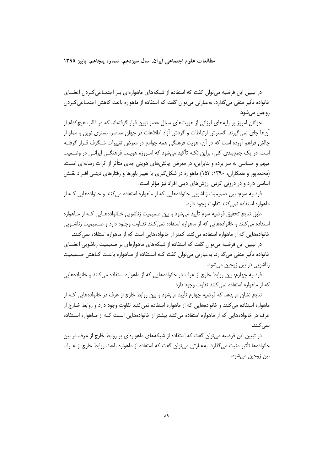مطالعات علوم اجتماعي ايران، سال سيزدهم، شماره ينجاهم، ياييز ١٣٩٥

در تبیین این فرضیه می توان گفت که استفاده از شبکههای ماهوارهای بـر اجتمـاعی کـردن اعضـای خانواده تأثیر منفی می گذارد. به عبارتی می توان گفت که استفاده از ماهواره باعث کاهش اجتمـاعی کــردن زوجين مي شود.

جوانان امروز بر پایههای لرزانی از هویتهای سیال عصر نوین قرار گرفتهاند که در قالب هیچ کدام از آنها جای نمی گیرند. گسترش ارتباطات و گردش آزاد اطلاعات در جهان معاصر، بستری نوین و مملو از چالش فراهم آورده است که در آن، هویت فرهنگی همه جوامع در معرض تغییرات شـگرف قـرار گرفتـه است. در یک جمع بندی کلی، براین نکته تأکید می شود که امـروزه هویـت فرهنگـی ایرانـی در وضـعیت مبهم و حساسی به سر برده و بنابراین، در معرض چالش های هویتی جدی متأثر از اثرات رسانهای اسـت. (محمدپور و همکاران، ۱۳۹۰: ۱۵۳) ماهواره در شکل گیری یا تغییر باورها و رفتارهای دینـی افـراد نقـش اساسی دارد و در درونی کردن ارزشهای دینی افراد نیز مؤثر است.

فرضیه سوم: بین صمیمیت زناشویی خانوادههایی که از ماهواره استفاده می کنند و خانوادههایی کـه از ماهواره استفاده نمی کنند تفاوت وجود دارد.

طبق نتایج تحقیق فرضیه سوم تأیید می شود و بین صمیمیت زناشویی خـانوادههـایی کـه از مـاهواره استفاده می کنند و خانوادههایی که از ماهواره استفاده نمی کنند تفـاوت وجـود دارد و صـمیمیت زناشـویی خانوادههایی که از ماهواره استفاده می کنند کمتر از خانوادههایی است که از ماهواره استفاده نمی کنند.

در تبیین این فرضیه می توان گفت که استفاده از شبکههای ماهوارهای بر صمیمیت زناشویی اعضـای خانواده تأثیر منفی می گذارد. بهعبارتی می توان گفت کـه اسـتفاده از مـاهواره باعـث کـاهش صـمیمیت زناشویی در بین زوجین میشود.

فرضیه چهارم: بین روابط خارج از عرف در خانوادههایی که از ماهواره استفاده می کنند و خانوادههایی که از ماهواره استفاده نمی کنند تفاوت وجود دارد.

نتایج نشان میدهد که فرضیه چهارم تأیید میشود و بین روابط خارج از عرف در خانوادههایی کـه از ماهواره استفاده می کنند و خانوادههایی که از ماهواره استفاده نمی کنند تفاوت وجود دارد و روابط خـارج از عرف در خانوادههایی که از ماهواره استفاده میکنند بیشتر از خانوادههایی است کـه از مـاهواره اسـتفاده نمے ,کنند.

در تبیین این فرضیه می توان گفت که استفاده از شبکههای ماهوارهای بر روابط خارج از عرف در بین خانوادهها تأثیر مثبت می گذارد. به عبارتی می توان گفت که استفاده از ماهواره باعث روابط خارج از عــرف ٻين زوجين مي شود.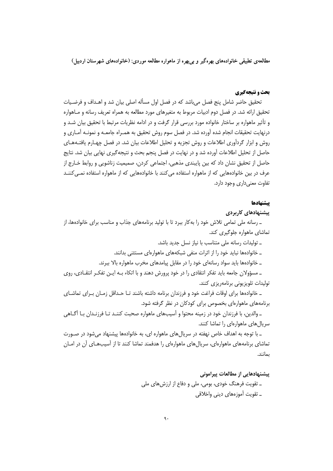### **یحث و نتیجهگیری**

تحقیق حاضر شامل پنج فصل می باشد که در فصل اول مسأله اصلی بیان شد و اهـداف و فرضـیات تحقیق ارائه شد. در فصل دوم ادبیات مربوط به متغیرهای مورد مطالعه به همراه تعریف رسانه و مـاهواره و تأثیر ماهواره بر ساختار خانواده مورد بررسی قرار گرفت و در ادامه نظریات مرتبط با تحقیق بیان شـد و درنهایت تحقیقات انجام شده آورده شد. در فصل سوم روش تحقیق به همـراه جامعـه و نمونـه آمـاری و روش و ابزار گردآوری اطلاعات و روش تجزیه و تحلیل اطلاعات بیان شد. در فصل چهـارم یافتـههـای حاصل از تحلیل اطلاعات آورده شد و در نهایت در فصل پنجم بحث و نتیجه گیری نهایی بیان شد. نتایج حاصل از تحقیق نشان داد که بین پایبندی مذهبی، اجتماعی کردن، صمیمیت زناشویی و روابط خـارج از عرف در بین خانوادههایی که از ماهواره استفاده میکنند با خانوادههایی که از ماهواره استفاده نمـیکننـد تفاوت معنے داری وجود دارد.

#### يبشنهادها

پیشنهادهای کاربردی

\_ رسانه ملی تمامی تلاش خود را به کار ببرد تا با تولید برنامههای جذاب و مناسب برای خانوادهها، از تماشای ماهواره جلوگیری کند.

- ـ توليدات رسانه ملي متناسب با نياز نسل جديد باشد.
- \_ خانوادهها نباید خود را از اثرات منفی شبکههای ماهوارهای مستثنی بدانند.
- ـ خانوادهها باید سواد رسانهای خود را در مقابل پیامدهای مخرب ماهواره بالا ببرند.

ـ مسؤولان جامعه باید تفکر انتقادی را در خود پرورش دهند و با اتکاء بـه ایـن تفکـر انتقـادی، روی تولیدات تلویزیونی برنامهریزی کنند.

ـ خانوادهها برای اوقات فراغت خود و فرزندان برنامه داشته باشند تـا حـداقل زمـان بـرای تماشـای برنامههای ماهوارهای بخصوص برای کودکان در نظر گرفته شود.

ــ والدین، با فرزندان خود در زمینه محتوا و اّسیبهای ماهواره صحبت کننـد تــا فرزنــدان بــا اّگــاهی سریال های ماهوارهای را تماشا کنند.

ـ با توجه به اهداف خاص نهفته در سریال های ماهواره ای، به خانوادهها پیشنهاد می شود در صـورت تماشای برنامههای ماهوارهای، سریالهای ماهوارهای را هدفمند تماشا کنند تا از آسیبهـای آن در امــان ىمانند.

پیشنهادهایی از مطالعات پیرامونی

ـ تقویت فرهنگ خودی، بومی، ملی و دفاع از ارزشهای ملی ـ تقويت آموزههای دينی واخلاقی